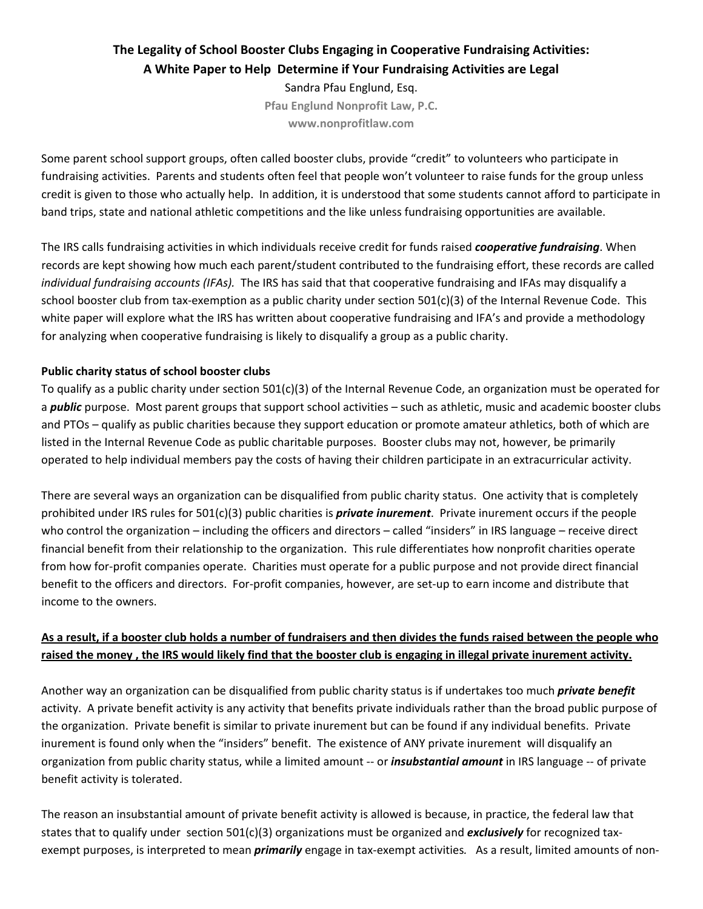# **The Legality of School Booster Clubs Engaging in Cooperative Fundraising Activities: A White Paper to Help Determine if Your Fundraising Activities are Legal**

Sandra Pfau Englund, Esq. **Pfau Englund Nonprofit Law, P.C. www.nonprofitlaw.com**

Some parent school support groups, often called booster clubs, provide "credit" to volunteers who participate in fundraising activities. Parents and students often feel that people won't volunteer to raise funds for the group unless credit is given to those who actually help. In addition, it is understood that some students cannot afford to participate in band trips, state and national athletic competitions and the like unless fundraising opportunities are available.

The IRS calls fundraising activities in which individuals receive credit for funds raised *cooperative fundraising*. When records are kept showing how much each parent/student contributed to the fundraising effort, these records are called *individual fundraising accounts (IFAs).* The IRS has said that that cooperative fundraising and IFAs may disqualify a school booster club from tax-exemption as a public charity under section  $501(c)(3)$  of the Internal Revenue Code. This white paper will explore what the IRS has written about cooperative fundraising and IFA's and provide a methodology for analyzing when cooperative fundraising is likely to disqualify a group as a public charity.

#### **Public charity status of school booster clubs**

To qualify as a public charity under section 501(c)(3) of the Internal Revenue Code, an organization must be operated for a *public* purpose. Most parent groups that support school activities – such as athletic, music and academic booster clubs and PTOs – qualify as public charities because they support education or promote amateur athletics, both of which are listed in the Internal Revenue Code as public charitable purposes. Booster clubs may not, however, be primarily operated to help individual members pay the costs of having their children participate in an extracurricular activity.

There are several ways an organization can be disqualified from public charity status. One activity that is completely prohibited under IRS rules for 501(c)(3) public charities is *private inurement*. Private inurement occurs if the people who control the organization – including the officers and directors – called "insiders" in IRS language – receive direct financial benefit from their relationship to the organization. This rule differentiates how nonprofit charities operate from how for-profit companies operate. Charities must operate for a public purpose and not provide direct financial benefit to the officers and directors. For-profit companies, however, are set-up to earn income and distribute that income to the owners.

## As a result, if a booster club holds a number of fundraisers and then divides the funds raised between the people who raised the money, the IRS would likely find that the booster club is engaging in illegal private inurement activity.

Another way an organization can be disqualified from public charity status is if undertakes too much *private benefit* activity. A private benefit activity is any activity that benefits private individuals rather than the broad public purpose of the organization. Private benefit is similar to private inurement but can be found if any individual benefits. Private inurement is found only when the "insiders" benefit. The existence of ANY private inurement will disqualify an organization from public charity status, while a limited amount ‐‐ or *insubstantial amount* in IRS language ‐‐ of private benefit activity is tolerated.

The reason an insubstantial amount of private benefit activity is allowed is because, in practice, the federal law that states that to qualify under section 501(c)(3) organizations must be organized and *exclusively* for recognized taxexempt purposes, is interpreted to mean *primarily* engage in tax-exempt activities. As a result, limited amounts of non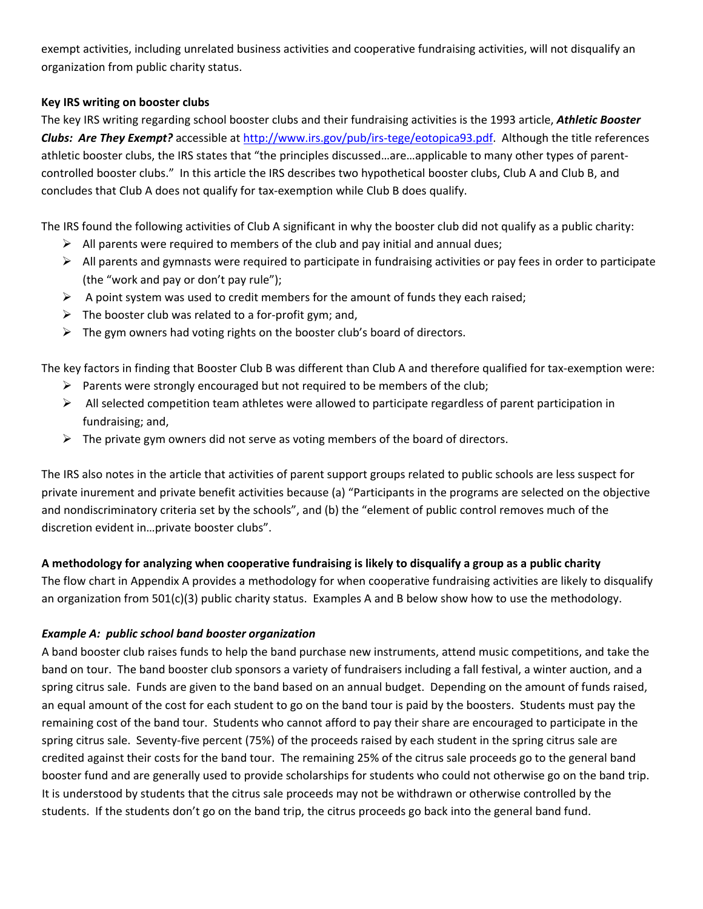exempt activities, including unrelated business activities and cooperative fundraising activities, will not disqualify an organization from public charity status.

#### **Key IRS writing on booster clubs**

The key IRS writing regarding school booster clubs and their fundraising activities is the 1993 article, *Athletic Booster Clubs: Are They Exempt?* accessible at http://www.irs.gov/pub/irs-tege/eotopica93.pdf. Although the title references athletic booster clubs, the IRS states that "the principles discussed...are...applicable to many other types of parentcontrolled booster clubs." In this article the IRS describes two hypothetical booster clubs, Club A and Club B, and concludes that Club A does not qualify for tax‐exemption while Club B does qualify.

The IRS found the following activities of Club A significant in why the booster club did not qualify as a public charity:

- $\triangleright$  All parents were required to members of the club and pay initial and annual dues;
- $\triangleright$  All parents and gymnasts were required to participate in fundraising activities or pay fees in order to participate (the "work and pay or don't pay rule");
- $\triangleright$  A point system was used to credit members for the amount of funds they each raised;
- $\triangleright$  The booster club was related to a for-profit gym; and,
- $\triangleright$  The gym owners had voting rights on the booster club's board of directors.

The key factors in finding that Booster Club B was different than Club A and therefore qualified for tax‐exemption were:

- $\triangleright$  Parents were strongly encouraged but not required to be members of the club;
- $\triangleright$  All selected competition team athletes were allowed to participate regardless of parent participation in fundraising; and,
- $\triangleright$  The private gym owners did not serve as voting members of the board of directors.

The IRS also notes in the article that activities of parent support groups related to public schools are less suspect for private inurement and private benefit activities because (a) "Participants in the programs are selected on the objective and nondiscriminatory criteria set by the schools", and (b) the "element of public control removes much of the discretion evident in…private booster clubs".

#### A methodology for analyzing when cooperative fundraising is likely to disqualify a group as a public charity

The flow chart in Appendix A provides a methodology for when cooperative fundraising activities are likely to disqualify an organization from 501(c)(3) public charity status. Examples A and B below show how to use the methodology.

#### *Example A: public school band booster organization*

A band booster club raises funds to help the band purchase new instruments, attend music competitions, and take the band on tour. The band booster club sponsors a variety of fundraisers including a fall festival, a winter auction, and a spring citrus sale. Funds are given to the band based on an annual budget. Depending on the amount of funds raised, an equal amount of the cost for each student to go on the band tour is paid by the boosters. Students must pay the remaining cost of the band tour. Students who cannot afford to pay their share are encouraged to participate in the spring citrus sale. Seventy-five percent (75%) of the proceeds raised by each student in the spring citrus sale are credited against their costs for the band tour. The remaining 25% of the citrus sale proceeds go to the general band booster fund and are generally used to provide scholarships for students who could not otherwise go on the band trip. It is understood by students that the citrus sale proceeds may not be withdrawn or otherwise controlled by the students. If the students don't go on the band trip, the citrus proceeds go back into the general band fund.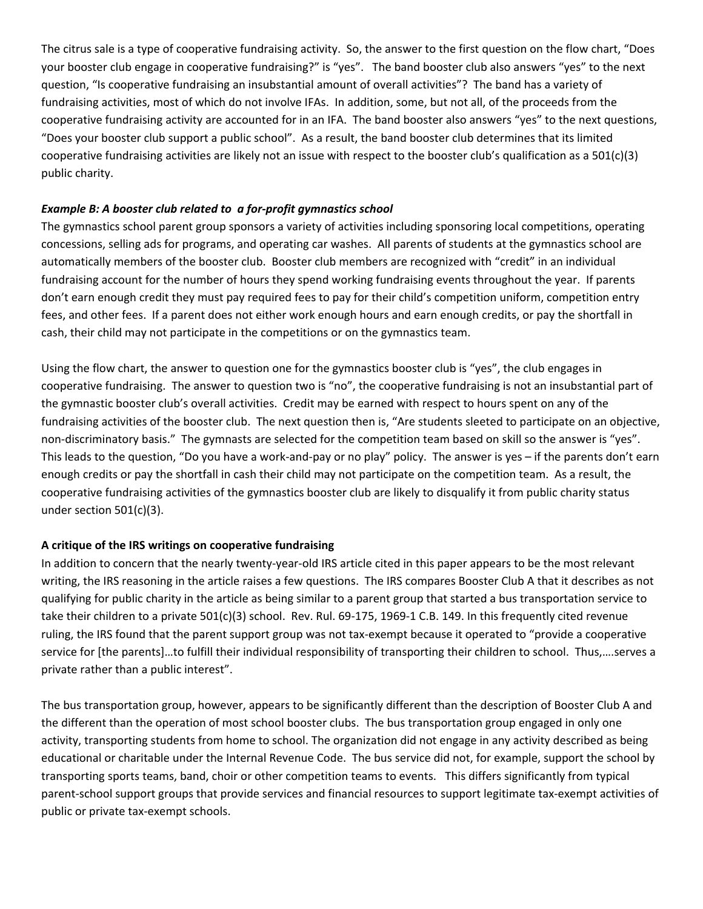The citrus sale is a type of cooperative fundraising activity. So, the answer to the first question on the flow chart, "Does your booster club engage in cooperative fundraising?" is "yes". The band booster club also answers "yes" to the next question, "Is cooperative fundraising an insubstantial amount of overall activities"? The band has a variety of fundraising activities, most of which do not involve IFAs. In addition, some, but not all, of the proceeds from the cooperative fundraising activity are accounted for in an IFA. The band booster also answers "yes" to the next questions, "Does your booster club support a public school". As a result, the band booster club determines that its limited cooperative fundraising activities are likely not an issue with respect to the booster club's qualification as a 501(c)(3) public charity.

#### *Example B: A booster club related to a for‐profit gymnastics school*

The gymnastics school parent group sponsors a variety of activities including sponsoring local competitions, operating concessions, selling ads for programs, and operating car washes. All parents of students at the gymnastics school are automatically members of the booster club. Booster club members are recognized with "credit" in an individual fundraising account for the number of hours they spend working fundraising events throughout the year. If parents don't earn enough credit they must pay required fees to pay for their child's competition uniform, competition entry fees, and other fees. If a parent does not either work enough hours and earn enough credits, or pay the shortfall in cash, their child may not participate in the competitions or on the gymnastics team.

Using the flow chart, the answer to question one for the gymnastics booster club is "yes", the club engages in cooperative fundraising. The answer to question two is "no", the cooperative fundraising is not an insubstantial part of the gymnastic booster club's overall activities. Credit may be earned with respect to hours spent on any of the fundraising activities of the booster club. The next question then is, "Are students sleeted to participate on an objective, non‐discriminatory basis." The gymnasts are selected for the competition team based on skill so the answer is "yes". This leads to the question, "Do you have a work‐and‐pay or no play" policy. The answer is yes – if the parents don't earn enough credits or pay the shortfall in cash their child may not participate on the competition team. As a result, the cooperative fundraising activities of the gymnastics booster club are likely to disqualify it from public charity status under section 501(c)(3).

#### **A critique of the IRS writings on cooperative fundraising**

In addition to concern that the nearly twenty-year-old IRS article cited in this paper appears to be the most relevant writing, the IRS reasoning in the article raises a few questions. The IRS compares Booster Club A that it describes as not qualifying for public charity in the article as being similar to a parent group that started a bus transportation service to take their children to a private 501(c)(3) school. Rev. Rul. 69‐175, 1969‐1 C.B. 149. In this frequently cited revenue ruling, the IRS found that the parent support group was not tax‐exempt because it operated to "provide a cooperative service for [the parents]…to fulfill their individual responsibility of transporting their children to school. Thus,….serves a private rather than a public interest".

The bus transportation group, however, appears to be significantly different than the description of Booster Club A and the different than the operation of most school booster clubs. The bus transportation group engaged in only one activity, transporting students from home to school. The organization did not engage in any activity described as being educational or charitable under the Internal Revenue Code. The bus service did not, for example, support the school by transporting sports teams, band, choir or other competition teams to events. This differs significantly from typical parent-school support groups that provide services and financial resources to support legitimate tax-exempt activities of public or private tax‐exempt schools.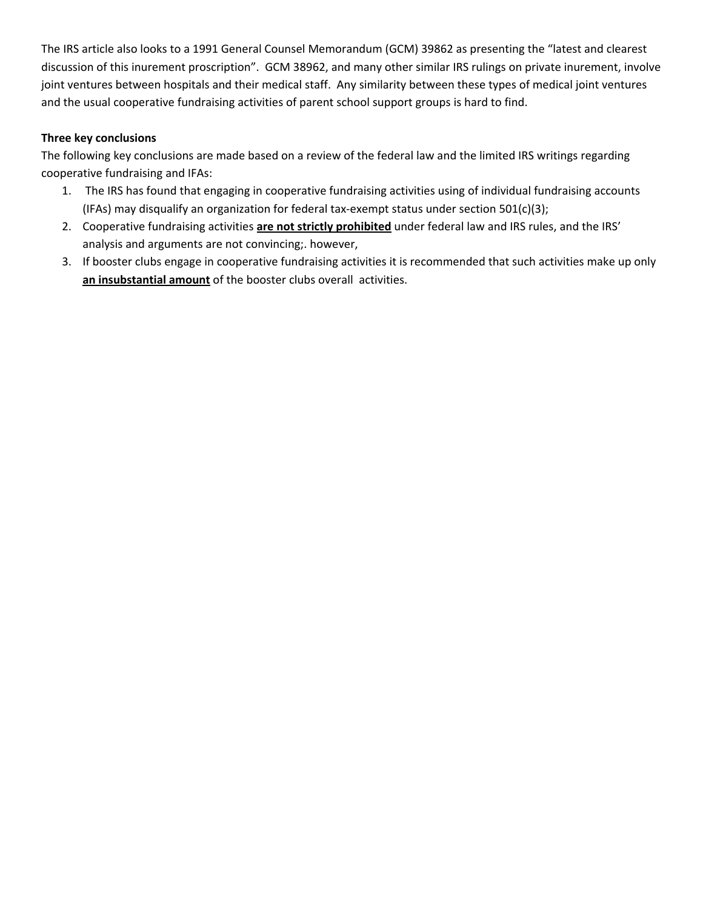The IRS article also looks to a 1991 General Counsel Memorandum (GCM) 39862 as presenting the "latest and clearest discussion of this inurement proscription". GCM 38962, and many other similar IRS rulings on private inurement, involve joint ventures between hospitals and their medical staff. Any similarity between these types of medical joint ventures and the usual cooperative fundraising activities of parent school support groups is hard to find.

### **Three key conclusions**

The following key conclusions are made based on a review of the federal law and the limited IRS writings regarding cooperative fundraising and IFAs:

- 1. The IRS has found that engaging in cooperative fundraising activities using of individual fundraising accounts (IFAs) may disqualify an organization for federal tax‐exempt status under section 501(c)(3);
- 2. Cooperative fundraising activities **are not strictly prohibited** under federal law and IRS rules, and the IRS' analysis and arguments are not convincing;. however,
- 3. If booster clubs engage in cooperative fundraising activities it is recommended that such activities make up only **an insubstantial amount** of the booster clubs overall activities.